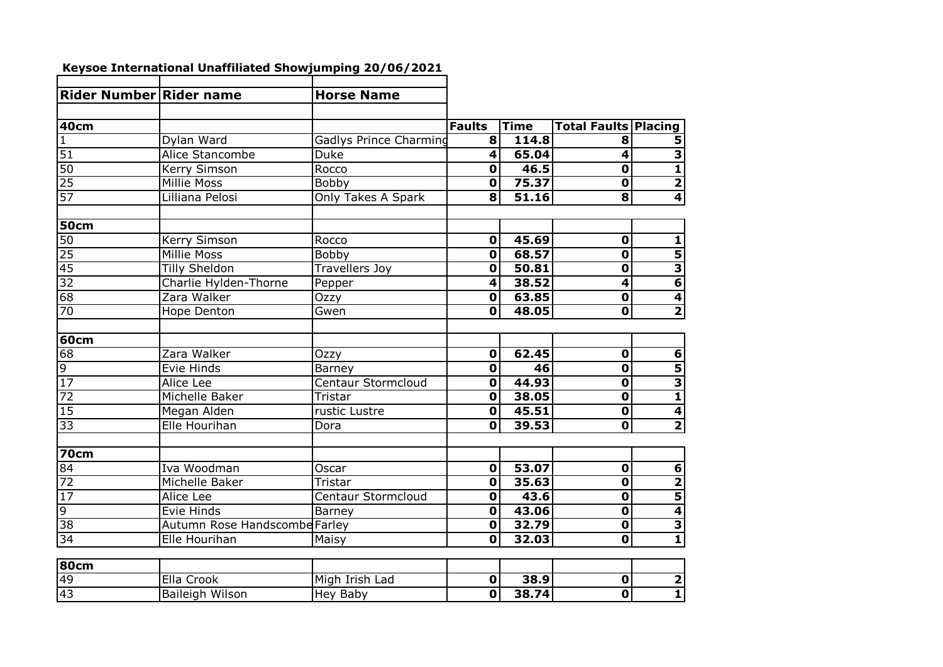| Rider Number Rider name |                               | <b>Horse Name</b>         |                         |             |                             |                         |
|-------------------------|-------------------------------|---------------------------|-------------------------|-------------|-----------------------------|-------------------------|
|                         |                               |                           |                         |             |                             |                         |
| <b>40cm</b>             |                               |                           | <b>Faults</b>           | <b>Time</b> | <b>Total Faults Placing</b> |                         |
| 1                       | Dylan Ward                    | Gadlys Prince Charming    | 8                       | 114.8       | 8                           | 5                       |
| $\overline{51}$         | Alice Stancombe               | Duke                      | $\overline{\mathbf{4}}$ | 65.04       | $\overline{\mathbf{4}}$     | 3                       |
| 50                      | Kerry Simson                  | Rocco                     | $\mathbf 0$             | 46.5        | $\overline{\mathbf{o}}$     | $\overline{\mathbf{1}}$ |
| 25                      | Millie Moss                   | Bobby                     | $\overline{\mathbf{0}}$ | 75.37       | $\overline{\mathbf{o}}$     | $\overline{\mathbf{2}}$ |
| 57                      | Lilliana Pelosi               | Only Takes A Spark        | $\overline{\mathbf{8}}$ | 51.16       | $\overline{\mathbf{8}}$     | 4                       |
| <b>50cm</b>             |                               |                           |                         |             |                             |                         |
| 50                      | Kerry Simson                  | Rocco                     | $\mathbf 0$             | 45.69       | $\mathbf{0}$                | $\mathbf{1}$            |
| 25                      | <b>Millie Moss</b>            | Bobby                     | $\overline{\mathbf{o}}$ | 68.57       | $\overline{\mathbf{o}}$     | 5                       |
| 45                      | <b>Tilly Sheldon</b>          | <b>Travellers Joy</b>     | $\overline{\mathbf{0}}$ | 50.81       | $\overline{\mathbf{0}}$     | 3                       |
| 32                      | Charlie Hylden-Thorne         | Pepper                    | $\overline{\mathbf{4}}$ | 38.52       | $\overline{\mathbf{4}}$     | $\overline{\mathbf{6}}$ |
| 68                      | Zara Walker                   | Ozzy                      | $\overline{\mathbf{0}}$ | 63.85       | $\overline{\mathbf{o}}$     | $\overline{\mathbf{4}}$ |
| 70                      | Hope Denton                   | Gwen                      | $\overline{\mathbf{0}}$ | 48.05       | $\overline{\mathbf{0}}$     | $\overline{\mathbf{2}}$ |
| 60cm                    |                               |                           |                         |             |                             |                         |
| 68                      | Zara Walker                   | Ozzy                      | $\overline{\mathbf{0}}$ | 62.45       | $\overline{\mathbf{0}}$     | $\overline{6}$          |
|                         | Evie Hinds                    | Barney                    | $\mathbf 0$             | 46          | $\overline{\mathbf{0}}$     | 5                       |
| $\frac{9}{17}$          | <b>Alice Lee</b>              | <b>Centaur Stormcloud</b> | $\mathbf 0$             | 44.93       | $\overline{\textbf{0}}$     | $\overline{\mathbf{3}}$ |
| 72                      | Michelle Baker                | Tristar                   | $\mathbf 0$             | 38.05       | $\overline{\mathbf{0}}$     | 1                       |
| $\overline{15}$         | Megan Alden                   | rustic Lustre             | $\mathbf 0$             | 45.51       | $\overline{\mathbf{o}}$     | 4                       |
| 33                      | Elle Hourihan                 | Dora                      | $\mathbf 0$             | 39.53       | $\overline{\mathbf{o}}$     | $\overline{\mathbf{c}}$ |
| <b>70cm</b>             |                               |                           |                         |             |                             |                         |
| 84                      | Iva Woodman                   | Oscar                     | $\overline{\mathbf{0}}$ | 53.07       | $\overline{\mathbf{0}}$     | 6                       |
| 72                      | Michelle Baker                | Tristar                   | $\mathbf 0$             | 35.63       | $\mathbf 0$                 | 2                       |
| $\overline{17}$         |                               | Centaur Stormcloud        | $\mathbf 0$             | 43.6        | $\mathbf 0$                 |                         |
| $\overline{9}$          | Alice Lee<br>Evie Hinds       | Barney                    | $\overline{\mathbf{o}}$ | 43.06       | $\overline{\mathbf{0}}$     | 5<br>4                  |
| 38                      | Autumn Rose Handscombe Farley |                           | $\mathbf 0$             | 32.79       | $\overline{\mathbf{0}}$     | 3                       |
| 34                      | Elle Hourihan                 | Maisy                     | $\overline{\mathbf{0}}$ | 32.03       | $\overline{\mathbf{0}}$     | $\mathbf{1}$            |
|                         |                               |                           |                         |             |                             |                         |
| 80cm                    |                               |                           |                         |             |                             |                         |
| 49                      | Ella Crook                    | Migh Irish Lad            | $\mathbf 0$             | 38.9        | $\overline{\mathbf{0}}$     | $\overline{\mathbf{2}}$ |
| 43                      | <b>Baileigh Wilson</b>        | <b>Hey Baby</b>           | $\overline{\mathbf{o}}$ | 38.74       | $\overline{\mathbf{0}}$     | $\overline{\mathbf{1}}$ |
|                         |                               |                           |                         |             |                             |                         |

## **Keysoe International Unaffiliated Showjumping 20/06/2021**